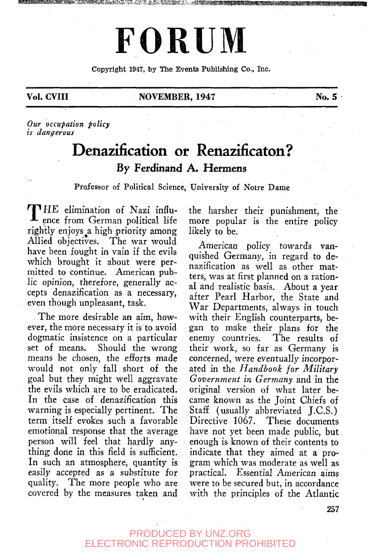# **FORUM**

. *xaMilRUr-* \*' *-PW-im* 

Copyright 1947, by The Events Publishing Co., Inc.

#### **Vol. CVIII NOVEMBER, 1947 No. 5**

*Our occupation policy is dangerous* 

**ir-^«wf«;t, j%\*' . •** 

## Denazification or Renazificaton? By Ferdinand A. Hetmens

Professor of Political Science, University of Notre Dame

**THE** elimination of Nazi influence from German political life rightly enjoys a high priority among Allied objectives. The war would have been fought in vain if the evils which brought it about were permitted to continue. American public opinion, therefore, generally accepts denazification as a necessary, even though unpleasant, task.

The more desirable an aim, however, the more necessary it is to avoid dogmatic insistence on a particular<br>set of means. Should the wrong Should the wrong means be chosen, the efforts made would not only fall short of the goal but they might well aggravate the evils which are to be eradicated. In the case of denazification this warning is especially pertinent. The term itself evokes such a favorable emotional response that the average person will feel that hardly anything done in this field is sufficient. In such an atmosphere, quantity is easily accepted as a substitute for quality. The more people who are covered by the measures taken and

the harsher their punishment, the more popular is the entire policy likely to be.

American policy towards vanquished Germany, in regard to denazification as well as other matters, was at first planned on a rational and realistic basis. About a year after Pearl Harbor, the State and War Departments, always in touch with their English counterparts, began to make their plans for the enemy countries. The results of their work, so far as Germany is concerned, were eventually incorporated in the *Handbook for Military Government in Germany* and in the original version of what later became known as the Joint Chiefs of Staff (usually abbreviated J.C.S.) Directive 1067. These documents have not yet been made public, but enough is known of their contents to indicate that they aimed at a program which was moderate as well as practical. Essential American aims were to be secured but, in accordance with the principles of the Atlantic

PRODUCED BY UNZ.ORG ELECTRONIC REPRODUCTION PROHIBITED 257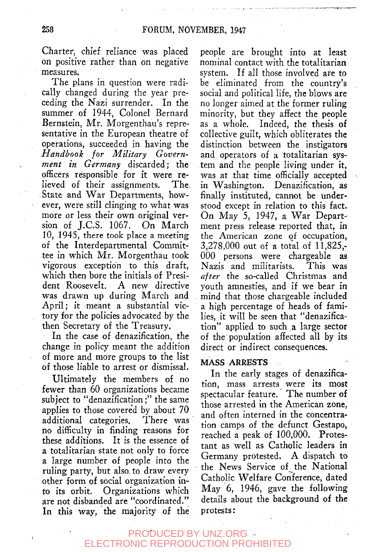Charter, chief reliance was placed on positive rather than on negative measures.

The plans in question *were* radically changed during the year preceding the Nazi surrender. In the summer of 1944, Colonel Bernard Bernstein, Mr. Morgenthau's representative in the European theatre of operations, succeeded in having the *Handbook for Military Government in Germany* discarded; the officers responsible for it were relieved of their assignments. The. State and War Departments, however, were still clinging to what was more or less their own original version of J.C.S. 1067. On March 10, 1945, there took place a meeting of the Interdepartmental Committee in which Mr. Morgenthau took vigorous exception to this draft, which then bore the initials of President Roosevelt. A new directive was drawn up during March and April; it meant a substantial victory for the policies advocated by the then Secretary of the Treasury.

In the case of denazification, the change in policy meant the addition of more and more groups to the list of those liable to arrest or dismissal.

Ultimately the members of no fewer than 60 organizations became subject to "denazification;" the same applies to those covered by about 70 additional categories. There was no difficulty in finding reasons for these additions. It is the essence of a totalitarian state not only to force a large number of people into the ruling party, but also, to draw every other form of social organization into its orbit. Organizations which are not disbanded are "coordinated." In this way, the majority of the

people are brought into at least nominal contact with the totalitarian system. If all those involved are to be eliminated from the country's social and political life, the blows are no longer aimed at the former ruling minority, but they affect the people as a whole. Indeed, the thesis of collective guilt, which obliterates the distinction between the instigators and operators of a totalitarian system and the people living under it, was at that time officially accepted in Washington. Denazification, as finally instituted, cannot be understood except in relation to this fact. On May 5, 1947, a War Department press release reported that, in the American zone of occupation, 3,278,000 out of a total of 11,825,- 000 persons were chargeable as Nazis and militarists. This was *after* the so-called Christmas and youth amnesties, and if we bear in mind that those chargeable included a high percentage of heads of families, it will be seen that "denazification" applied to such ,a large sector of the population affected all by its direct or indirect consequences.

#### MASS ARRESTS

In the early stages of denazification, mass arrests were its most spectacular feature. The number of those arrested in the American zone, and often interned in the concentration camps of the defunct Gestapo, reached a peak of 100,000. Protestant as well as Catholic leaders in Germany protested. A dispatch to the News Service of the National Catholic Welfare Conference, dated May 6, 1946, gave the following details about the background of the protests: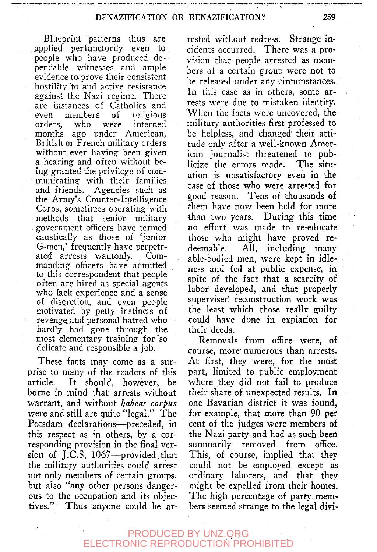Blueprint patterns thus are .applied perfunctorily even to people who have produced dependable witnesses and ample evidence to prove their consistent hostility to and active resistance against the Nazi regime. There are instances of Catholics and even members of religious orders, who were interned months ago under American, British or French military orders without ever having been given a hearing and often without being granted the privilege of communicating with their families and friends. Agencies such as • the Army's Counter-intelligence Corps, sometimes operating with methods that senior military government officers have termed caustically as those of 'junior G-men,' frequently have perpetrated arrests wantonly. Commanding officers have admitted to this correspondent that people often are hired as special agents who lack experience and a sense of discretion, and even people motivated by petty instincts of revenge and personal hatred who hardly had gone through the most elementary training for so delicate and responsible a job.

These facts may come as a surprise to many of the readers of this article. It should, however, be borne in mind that arrests without warrant, and without *habeas corpus*  were and still are quite "legal." The Potsdam declarations—^preceded, in this respect as in others, by a corresponding provision in the final version of J.C.S. 1067—provided that the military authorities could arrest not only members of certain groups, but also "any other persons dangerous to the occupation and its objectives." Thus anyone could be arrested without redress. Strange incidents occurred. There was a provision that people arrested as members of a certain group were not to be released under any circumstances. In this case as in others, some arrests were due to mistaken identity. When the facts were uncovered, the military authorities first professed to be helpless, and changed their attitude only after a well-known American journalist threatened to publicize the errors made. The situation is unsatisfactory even in the case of those who were arrested for good reason. Tens of thousands of them have now been held for more than two years. During this time no effort was made to re-educate those who might have proved redeemable. All, including many able-bodied men, were kept in idleness and fed at public expense, in spite of the fact that a scarcity of labor developed, and that properly supervised reconstruction work was the least which those really guilty could have done in expiation for their deeds.

Removals from office *were,* of course, more numerous than arrests. At first, they were, for the most part, limited to public employment where they did not fail to produce their share of unexpected results. In one Bavarian district it was found, for example, that more than 90 per cent of the judges were members of the Nazi party and had as such been summarily removed from office. This, of course, implied that they could not be employed except as ordinary laborers, and that they might be expelled from their homes. The high percentage of party members seemed strange to the legal divi-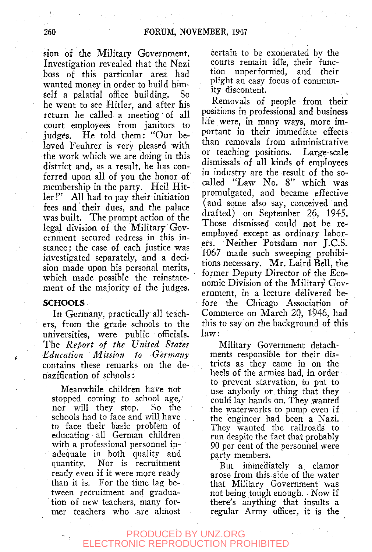sion of the Military Government. Investigation revealed that the Nazi boss of this particular area had wanted money in order to build himself a palatial office building. So he went to see Hitler, and after his return he called a meeting of all court employees from janitors to judges. He told them: "Our beloved Feuhrer is very pleased with the work which we are doing in this district and, as a result, he has conferred upon all of you the honor of membership in the party. Heil Hitler!" All had to pay their initiation fees and their dues, and the palace was built. The prompt action of the legal division of the Military Government secured redress in this instance; the case of each justice was investigated separately, and a decision made upon his personal merits, which made possible the reinstatement of the majority of the judges.

#### SCHOOLS

In Germany, practically all teachers, from the grade schools to the universities, were public officials. The *Report of the United States Education Mission to Germany*  contains these remarks on the denazification of schools:

Meanwhile children have not stopped coming to school age,<br>nor will they stop. So the nor will they stop. schools had to face and will have to face their basic problem of educating all German children with a professional personnel inadequate in both quality and<br>quantity. Nor is recruitment Nor is recruitment ready even if it were more ready than it is. For the time lag between recruitment and graduation of new teachers, many former teachers who are almost

certain to be exonerated by the courts remain idle, their function unperformed, and their plight an easy focus of community discontent.

Removals *oi* people from their positions in professional and business life were, in many ways, more important in their immediate effects than removals from administrative or teaching positions. Large-scale dismissals of all kinds of employees in industry are the result of the socalled "Law No. 8" which was promulgated, and became effective (and some also say, conceived and drafted) on September 26, 1945. Those dismissed could not be reemployed except as ordinary laborers. Neither Potsdam nor J.C.S. 1067 made such sweeping prohibitions necessary. Mr. Laird Bell, the former Deputy Director of the Economic Division of the Military Government, in a lecture delivered before the Chicago Association of Commerce on March 20, 1946, had this to say on the background of this law:

Military Government detachments responsible for their districts as they came in on the heels of the armies had, in order to prevent starvation, to put to use anybody or. thing that they could lay hands on. They wanted the waterworks to pump even if the engineer had been a Nazi. They wanted the railroads to run despite the fact that probably 90 per cent of the personnel were party members.

But immediately a clamor arose from this side of the water that Military Government was not being tough enough. Now if there's anything that insults a regular Army officer, it is the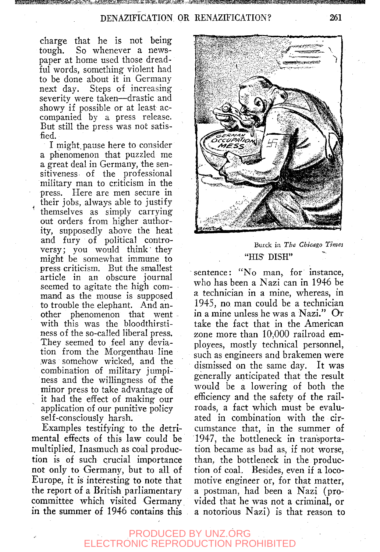charge that he is not being tough. So whenever a newspaper at home used those dreadful words, something violent had to be done about it in Germany next day. Steps of increasing severity were taken—drastic and showy if possible or at least accompanied by a press release. But still the press was not satisfied.

 $\mathcal{B}^{\text{max}}_{\text{max}}$  with  $\mathcal{B}^{\text{max}}_{\text{max}}$  is a set of  $\mathcal{B}^{\text{max}}_{\text{max}}$  ,  $\mathcal{B}^{\text{max}}_{\text{max}}$  ,  $\mathcal{B}^{\text{max}}_{\text{max}}$  ,  $\mathcal{B}^{\text{max}}_{\text{max}}$ 

I might, pause here to consider a phenomenon that puzzled me a great deal in Germany, the sensitiveness of the professional military man to criticism in the press. Here are men secure in their jobs, always able to justify ' themselves as simply carrying out orders from higher authority, supposedly above the heat and fury of political controversy; you would think' they might be somewhat immune to press criticism. But the smallest article in an obscure journal seemed to agitate the high com-<br>mand as the mouse is supposed to trouble the elephant. And another phenomenon that went. with this was the bloodthirstiness of the so-called liberal press. They seemed to feel any deviation from the Morgenthau line was somehow wicked, and the combination of military jumpiness and the willingness of the minor press to take advantage of it had the effect of making our application of our punitive policy self-consciously harsh.

Examples testifying to the detrimental effects of this law could be multiplied. Inasmuch as coal producmultiplied. Inashuell as coal production is of such crucial importance not only to Germany, but to all of Europe, it is interesting to note that the report of a British parliamentary committee which visited Germany in the summer of 1946 contains this



Buxck in *The Chicago Times*  "HIS" DISH"

sentence: "No man, for instance, who has been a Nazi can in 1946 be a technician in a mine, whereas, in 1945, no man could be a technician in a mine unless he was a Nazi." Or take the fact that in the American zone more than 10,000 railroad employees, mostly technical personnel, such as engineers and brakemen were dismissed on the same day. It was generally anticipated that the result would be a lowering of both the efficiency and the safety of the railroads, a fact which must be evaluated in combination with the circumstance that, in the summer of 1947, the bottleneck in transportation became as bad as, if not worse, than, the bottleneck in the production of coal. Besides, even if a locomotive engineer or, for that matter, a postman, had been a Nazi (provided that he was not a criminal, or a notorious Nazi) is that reason to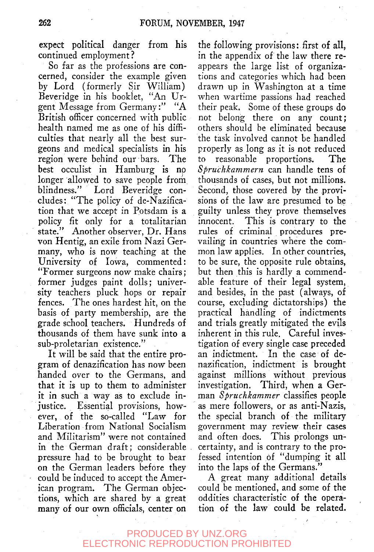expect political danger from his continued employment?

So far as the professions are concerned, consider the example given by Lord (formerly Sir William) Beveridge in his booklet, "An Urgent Message from Germany:" "A gent Message from Germany:" British officer concerned with public health named me as one of his difficulties that nearly all the best surgeons and medical specialists in his region were behind our bars. The best occulist in Hamburg is no longer allowed to save people from blindness." Lord Beveridge concludes : "The policy of de-Nazification that we accept in Potsdam is a policy fit only for a totalitarian state." Another observer, Dr. Hans von Hentig, an exile from Nazi Germany, who is now teaching at the University of Iowa, commented: "Former surgeons now make chairs; former judges paint dolls; university teachers pluck hops or repair fences. The ones hardest hit, on the basis of party membership, are the grade school teachers. Hundreds of thousands of them have sunk into a sub-proletarian existence."

It will be said that the entire program of denazification has now been handed over to the Germans, and that it is up to them to administer it in such a way as to exclude injustice. Essential provisions, however, of the so-called "Law for Liberation from National Socialism and Militarism" were not contained in the German draft; considerable pressure had to be brought to bear on the German leaders before they could be induced to accept the American program. The German objections, which are shared by a great many of our own officials, center on the following provisions: first of all, in the appendix of the law there reappears the large list of organizations and categories which had been drawn up in Washington at a time when wartime passions had reached their peak. Some of these groups do not belong there on any count; others should be eliminated because the task involved cannot be handled properly as long as it is not reduced to reasonable proportions. The *Spruchkammern* can handle tens of thousands of cases, but not millions. Second, those covered by the provisions of the law are presumed to he guilty unless they prove themselves innocent. This is contrary to the rules of criminal procedures prevailing in countries where the common law applies. In other countries, to be sure, the opposite rule obtains, but then this is hardly a commendable feature of their legal system, and besides, in the past (always, of course, excluding dictatorships) the practical handling of indictments and trials greatly mitigated the evils inherent in this rule. Careful investigation of every single case preceded an indictment. In the case of denazification, indictment is brought against millions without previous investigation. Third, when a German *Spruchkammer* classifies people as mere followers, or as anti-Nazis, the special branch of the military government may review their cases and often does. This prolongs uncertainty, and is contrary to the professed intention of "dumping it all into the laps of the Germans."

A great many additional details could be mentioned, and some of the oddities characteristic of the operation of the law could be related.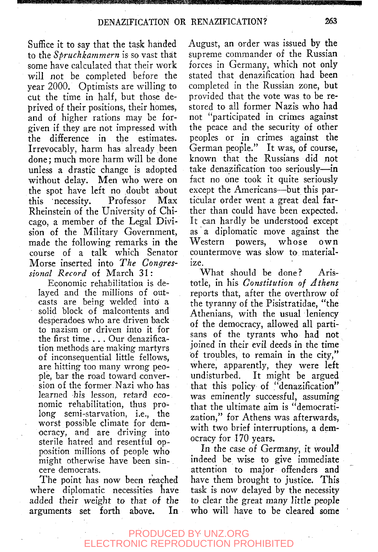Suffice it to say that the task handed to the *Spruchkammern* is so vast that some have calculated that their work will not be completed before the year 2000. Optimists are willing to cut the time in half, but those deprived of their positions, their homes, and of higher rations may be forgiven if they are not impressed with the difference in the estimates. Irrevocably, harm has already been done; much more harm will be done unless a drastic change is adopted without delay. Men who were on the spot have left no doubt about this necessity. Professor Max Rheinstein of the University of Chicago, a member of the Legal Division of the Military Government, made the following remarks in the course of a talk which Senator Morse inserted into *The Congressional Record* of March 31 :

Economic rehabilitation is delayed and the millions of outcasts are being welded into a solid block of malcontents and desperadoes who are driven back to nazism or driven into it for the first time . . . Our denazification methods are making martyrs of inconsequential little fellows, are hitting too many wrong people, bar the road toward conversion of the former Nazi who has learned his lesson, retard economic rehabilitation, thus prolong semi-starvation, i.e., the worst possible climate for democracy, and are driving into sterile hatred and resentful opposition millions of people who might otherwise have been sincere democrats.

The point has now been reached where diplomatic necessities have added their weight to that of the arguments set forth above. In

August, an order was issued by the supreme commander of the Russian forces in Germany, which not only stated that denazification had been completed in the Russian zone, but provided that the vote was to be restored to all former Nazis who had not "participated in crimes against the peace and the security of other peoples or in crimes against the German people." It was, of course, known that the Russians did not take denazification too seriously—in fact no one took it quite seriously except the Americans—but this particular order went a great deal farther than could have been expected. It can hardly be understood except as a diplomatic move against the Western powers, whose own countermove was slow to materialize.

What should be done? Aristotle, in his *Constitution of Athens*  reports that, after the overthrow of the tyranny of the Pisistratidae, "the Athenians, with the usual leniency of the democracy, allowed all partisans of the tyrants who had not joined in their evil deeds in the time of troubles, to remain in the city," where, apparently, they were left undisturbed. It might be argued that this policy of "denazification" was eminently successful, assuming that the ultimate aim is "democratization," for Athens was afterwards, with two brief interruptions, a democracy for 170 years.

In the case of Germany, it would indeed be wise to give immediate attention to major offenders and have them brought to justice. This task is now delayed by the necessity to clear the great many little people who will have to be cleared some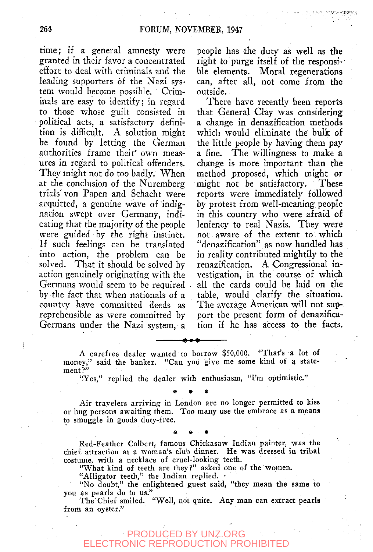time; if a general amnesty were granted in their favor a concentrated effort to deal with criminals and the leading supporters of the Nazi system would become possible. Criminals are easy to identify; in regard to those whose guilt consisted in political acts, a satisfactory definition is difficult. A solution might be found by letting the German authorities frame their\* own measures in regard to political offenders. They might not do too badly. When at the conclusion of the Nuremberg trials von Papen and Schacht were acquitted, a genuine wave of indignation swept over Germany, indicating that the majority of the people were guided by the right instinct. If such feelings can be translated into action, the problem can be solved. That it should be solved by action genuinely originating with the Germans would seem to be required by the fact that when nationals of a country have committed deeds as reprehensible as were committed by Germans under the Nazi system, a people has the duty as well as **the**  right to purge itself of the responsible elements. Moral regenerations can, after all, not come from the outside.

There have recently been reports that General Clay was considering a change in denazification methods which would eliminate the bulk of the little people by having them pay a fine. The willingness to make a change is more important than **the**  method proposed, which might or might not be satisfactory. These reports were immediately followed by protest from well-meaning people in this country who were afraid of leniency to real Nazis. They were not aware of the extent to which "denazification" as now handled has in reality contributed mightily to the renazification. A Congressional investigation, in the course of which all the cards could be laid on the table, would clarify the situation. The average American will not support the present form of denazification if he has access to the facts.

A carefree dealer wanted to borrow \$50,000. "That's a lot of money," said the banker. "Can you give me some kind of a statement?"

**••»» •** 

"Yes," replied the dealer with enthusiasm, "I'm optimistic." **» » »** 

Air travelers arriving in London are no longer permitted to kiss or hug persons awaiting them. Too many use the embrace as a means to smuggle in goods duty-free.

Red-Feather Colbert, famous Chickasaw Indian painter, was the chief attraction at a woman's club dinner. He was dressed in tribal costume, with a necklace of cruel-looking teeth.

"What kind of teeth are they?" asked one of the women.

"Alligator teeth," the Indian replied. \*

"No doubt," the enlightened guest said, "they mean the same to you as pearls do to us."

The Chief smiled. "Well, not quite. Any man can extract pearls from an oyster."